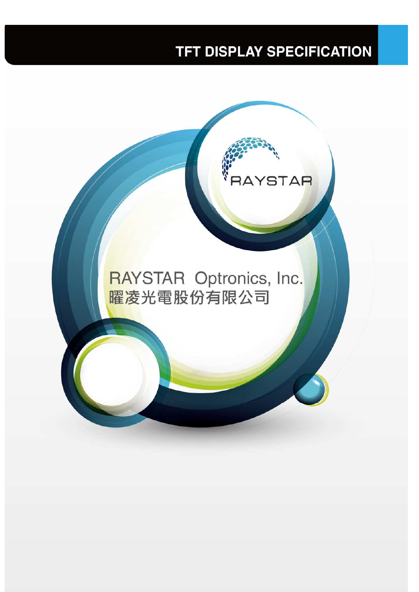# **TFT DISPLAY SPECIFICATION**

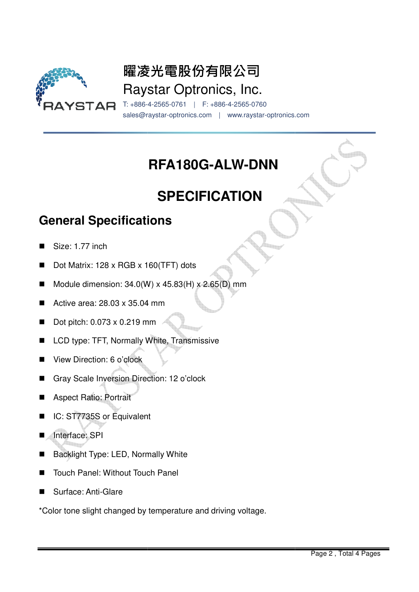

# 曜凌光電股份有限公司 Raystar Optronics, Inc.

T: +886- -4-2565-0761 | F: +886-4-2565-0760 sales@raystar-optronics.com | www.raystar-optronics.com

## **RFA180G-ALW-DNN**

# **SPECIFICATION**

### **General Specifications**

- Size: 1.77 inch
- Dot Matrix: 128 x RGB x 160(TFT) dots
- Module dimension:  $34.0(W) \times 45.83(H) \times 2.65(D)$  mm
- Active area: 28.03 x 35.04 mm
- $\blacksquare$  Dot pitch: 0.073 x 0.219 mm
- LCD type: TFT, Normally White, Transmissive
- View Direction: 6 o'clock
- Gray Scale Inversion Direction: 12 o'clock
- Aspect Ratio: Portrait
- IC: ST7735S or Equivalent
- Interface: SPI
- Backlight Type: LED, Normally White
- Touch Panel: Without Touch Panel
- Surface: Anti-Glare

■ Touch Panel: Without Touch Panel<br>■ Surface: Anti-Glare<br>\*Color tone slight changed by temperature and driving voltage.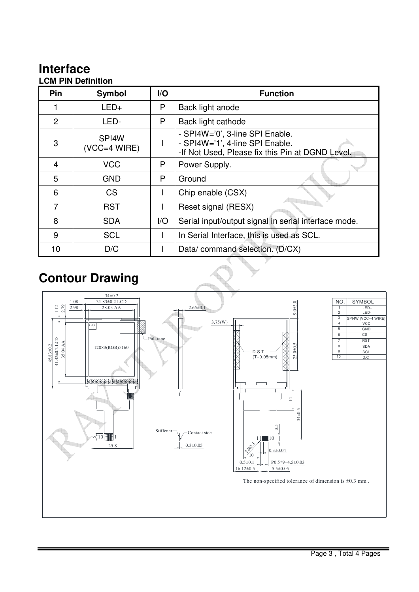## **Interface**

#### **LCM PIN Definition**

| Pin | <b>Symbol</b>           | $\mathsf{I}/\mathsf{O}$ | <b>Function</b>                                                                                                        |
|-----|-------------------------|-------------------------|------------------------------------------------------------------------------------------------------------------------|
|     | $LED+$                  | P                       | Back light anode                                                                                                       |
| 2   | LED-                    | P                       | Back light cathode                                                                                                     |
| 3   | SPI4W<br>$(VCC=4 WIRE)$ |                         | - SPI4W='0', 3-line SPI Enable.<br>- SPI4W='1', 4-line SPI Enable.<br>-If Not Used, Please fix this Pin at DGND Level. |
| 4   | <b>VCC</b>              | P                       | Power Supply.                                                                                                          |
| 5   | <b>GND</b>              | P                       | Ground                                                                                                                 |
| 6   | <b>CS</b>               |                         | Chip enable (CSX)                                                                                                      |
| 7   | <b>RST</b>              |                         | Reset signal (RESX)                                                                                                    |
| 8   | <b>SDA</b>              | 1/O                     | Serial input/output signal in serial interface mode.                                                                   |
| 9   | <b>SCL</b>              |                         | In Serial Interface, this is used as SCL.                                                                              |
| 10  | D/C                     |                         | Data/command selection. (D/CX)                                                                                         |

### **Contour Drawing**